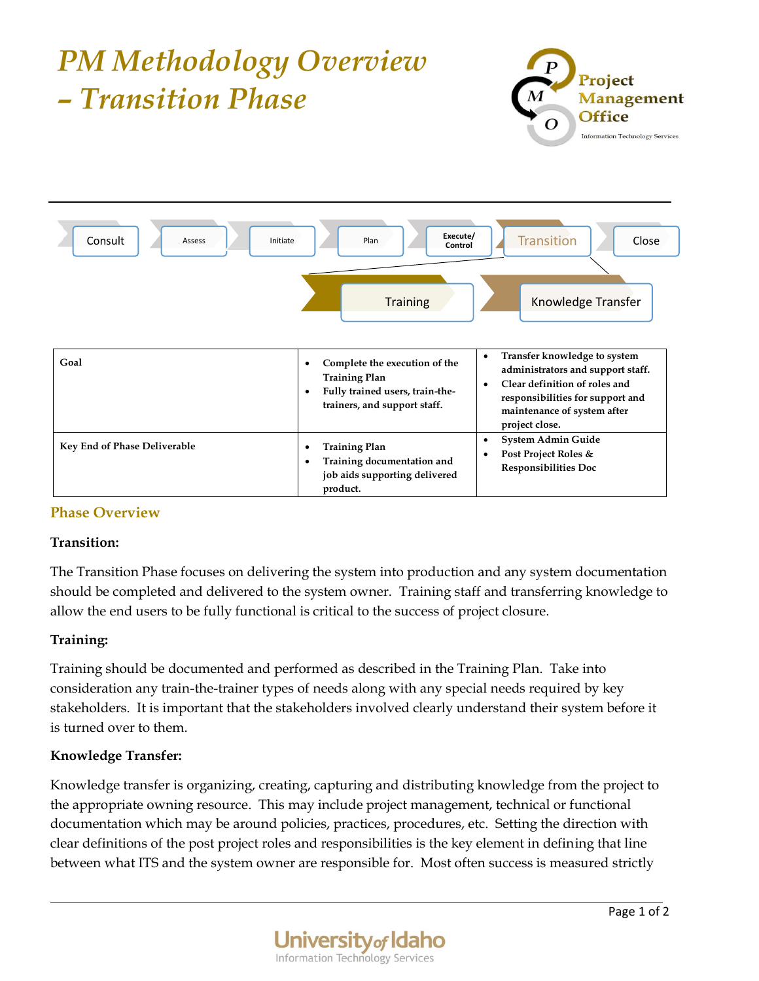

## **Phase Overview**

## **Transition:**

The Transition Phase focuses on delivering the system into production and any system documentation should be completed and delivered to the system owner. Training staff and transferring knowledge to allow the end users to be fully functional is critical to the success of project closure.

## **Training:**

Training should be documented and performed as described in the Training Plan. Take into consideration any train-the-trainer types of needs along with any special needs required by key stakeholders. It is important that the stakeholders involved clearly understand their system before it is turned over to them.

## **Knowledge Transfer:**

Knowledge transfer is organizing, creating, capturing and distributing knowledge from the project to the appropriate owning resource. This may include project management, technical or functional documentation which may be around policies, practices, procedures, etc. Setting the direction with clear definitions of the post project roles and responsibilities is the key element in defining that line between what ITS and the system owner are responsible for. Most often success is measured strictly